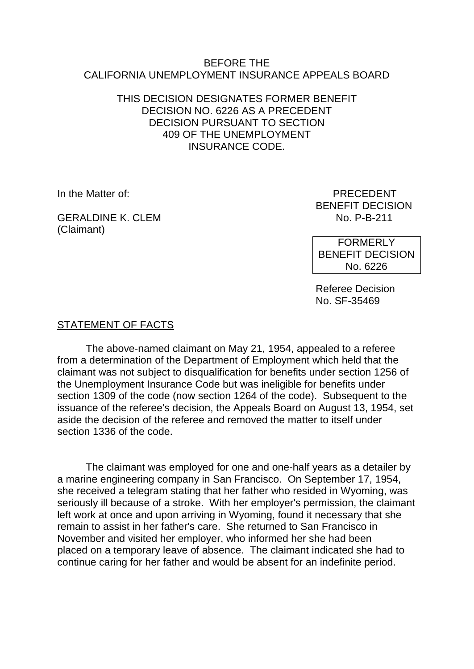### BEFORE THE CALIFORNIA UNEMPLOYMENT INSURANCE APPEALS BOARD

## THIS DECISION DESIGNATES FORMER BENEFIT DECISION NO. 6226 AS A PRECEDENT DECISION PURSUANT TO SECTION 409 OF THE UNEMPLOYMENT INSURANCE CODE.

GERALDINE K. CLEM NO. P-B-211 (Claimant)

In the Matter of: PRECEDENT BENEFIT DECISION

> FORMERLY BENEFIT DECISION No. 6226

Referee Decision No. SF-35469

# STATEMENT OF FACTS

The above-named claimant on May 21, 1954, appealed to a referee from a determination of the Department of Employment which held that the claimant was not subject to disqualification for benefits under section 1256 of the Unemployment Insurance Code but was ineligible for benefits under section 1309 of the code (now section 1264 of the code). Subsequent to the issuance of the referee's decision, the Appeals Board on August 13, 1954, set aside the decision of the referee and removed the matter to itself under section 1336 of the code.

The claimant was employed for one and one-half years as a detailer by a marine engineering company in San Francisco. On September 17, 1954, she received a telegram stating that her father who resided in Wyoming, was seriously ill because of a stroke. With her employer's permission, the claimant left work at once and upon arriving in Wyoming, found it necessary that she remain to assist in her father's care. She returned to San Francisco in November and visited her employer, who informed her she had been placed on a temporary leave of absence. The claimant indicated she had to continue caring for her father and would be absent for an indefinite period.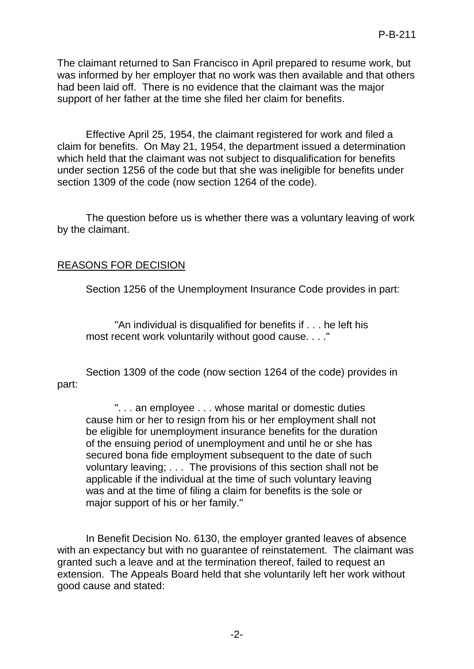The claimant returned to San Francisco in April prepared to resume work, but was informed by her employer that no work was then available and that others had been laid off. There is no evidence that the claimant was the major support of her father at the time she filed her claim for benefits.

Effective April 25, 1954, the claimant registered for work and filed a claim for benefits. On May 21, 1954, the department issued a determination which held that the claimant was not subject to disqualification for benefits under section 1256 of the code but that she was ineligible for benefits under section 1309 of the code (now section 1264 of the code).

The question before us is whether there was a voluntary leaving of work by the claimant.

# REASONS FOR DECISION

Section 1256 of the Unemployment Insurance Code provides in part:

"An individual is disqualified for benefits if . . . he left his most recent work voluntarily without good cause. . . ."

Section 1309 of the code (now section 1264 of the code) provides in part:

". . . an employee . . . whose marital or domestic duties cause him or her to resign from his or her employment shall not be eligible for unemployment insurance benefits for the duration of the ensuing period of unemployment and until he or she has secured bona fide employment subsequent to the date of such voluntary leaving; . . . The provisions of this section shall not be applicable if the individual at the time of such voluntary leaving was and at the time of filing a claim for benefits is the sole or major support of his or her family."

In Benefit Decision No. 6130, the employer granted leaves of absence with an expectancy but with no guarantee of reinstatement. The claimant was granted such a leave and at the termination thereof, failed to request an extension. The Appeals Board held that she voluntarily left her work without good cause and stated: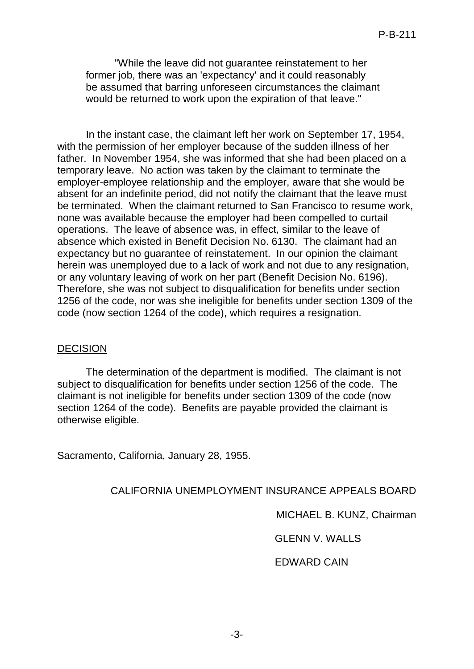"While the leave did not guarantee reinstatement to her former job, there was an 'expectancy' and it could reasonably be assumed that barring unforeseen circumstances the claimant would be returned to work upon the expiration of that leave."

In the instant case, the claimant left her work on September 17, 1954, with the permission of her employer because of the sudden illness of her father. In November 1954, she was informed that she had been placed on a temporary leave. No action was taken by the claimant to terminate the employer-employee relationship and the employer, aware that she would be absent for an indefinite period, did not notify the claimant that the leave must be terminated. When the claimant returned to San Francisco to resume work, none was available because the employer had been compelled to curtail operations. The leave of absence was, in effect, similar to the leave of absence which existed in Benefit Decision No. 6130. The claimant had an expectancy but no guarantee of reinstatement. In our opinion the claimant herein was unemployed due to a lack of work and not due to any resignation, or any voluntary leaving of work on her part (Benefit Decision No. 6196). Therefore, she was not subject to disqualification for benefits under section 1256 of the code, nor was she ineligible for benefits under section 1309 of the code (now section 1264 of the code), which requires a resignation.

#### DECISION

The determination of the department is modified. The claimant is not subject to disqualification for benefits under section 1256 of the code. The claimant is not ineligible for benefits under section 1309 of the code (now section 1264 of the code). Benefits are payable provided the claimant is otherwise eligible.

Sacramento, California, January 28, 1955.

## CALIFORNIA UNEMPLOYMENT INSURANCE APPEALS BOARD

MICHAEL B. KUNZ, Chairman

GLENN V. WALLS

## EDWARD CAIN